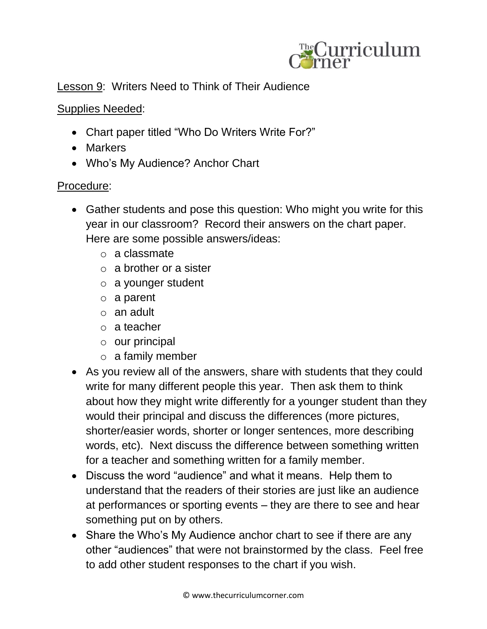

## Lesson 9: Writers Need to Think of Their Audience

## Supplies Needed:

- Chart paper titled "Who Do Writers Write For?"
- Markers
- Who's My Audience? Anchor Chart

## Procedure:

- Gather students and pose this question: Who might you write for this year in our classroom? Record their answers on the chart paper. Here are some possible answers/ideas:
	- o a classmate
	- $\circ$  a brother or a sister
	- o a younger student
	- o a parent
	- o an adult
	- o a teacher
	- o our principal
	- o a family member
- As you review all of the answers, share with students that they could write for many different people this year. Then ask them to think about how they might write differently for a younger student than they would their principal and discuss the differences (more pictures, shorter/easier words, shorter or longer sentences, more describing words, etc). Next discuss the difference between something written for a teacher and something written for a family member.
- Discuss the word "audience" and what it means. Help them to understand that the readers of their stories are just like an audience at performances or sporting events – they are there to see and hear something put on by others.
- Share the Who's My Audience anchor chart to see if there are any other "audiences" that were not brainstormed by the class. Feel free to add other student responses to the chart if you wish.